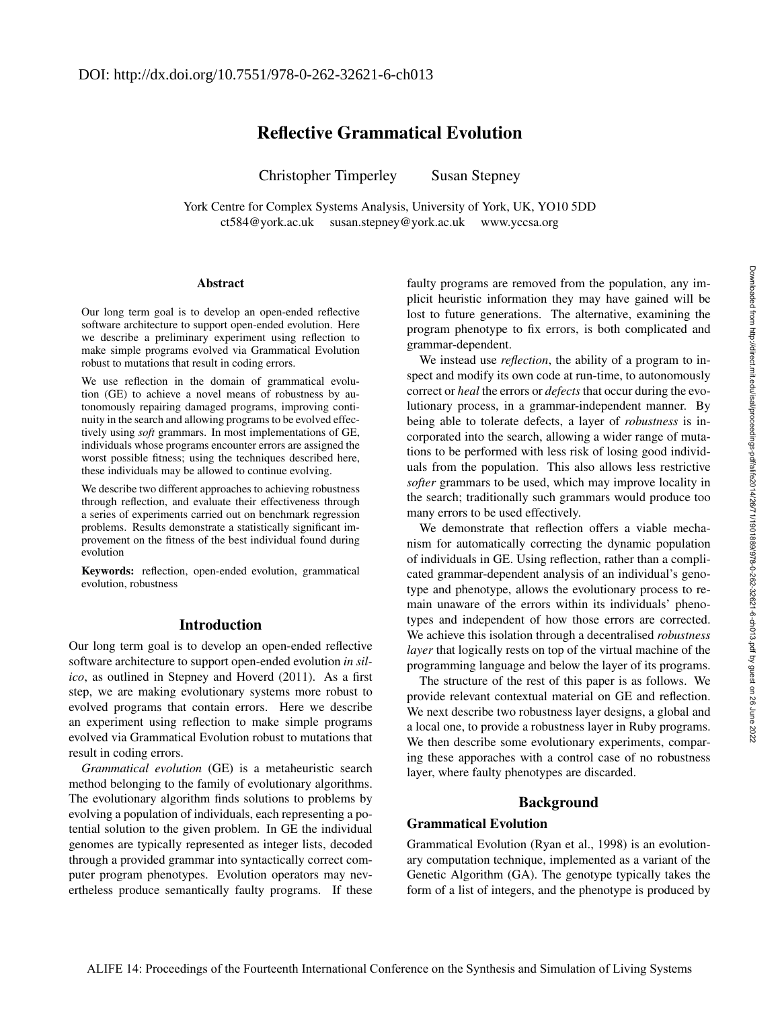# Reflective Grammatical Evolution

Christopher Timperley Susan Stepney

York Centre for Complex Systems Analysis, University of York, UK, YO10 5DD ct584@york.ac.uk susan.stepney@york.ac.uk www.yccsa.org

#### **Abstract**

Our long term goal is to develop an open-ended reflective software architecture to support open-ended evolution. Here we describe a preliminary experiment using reflection to make simple programs evolved via Grammatical Evolution robust to mutations that result in coding errors.

We use reflection in the domain of grammatical evolution (GE) to achieve a novel means of robustness by autonomously repairing damaged programs, improving continuity in the search and allowing programs to be evolved effectively using *soft* grammars. In most implementations of GE, individuals whose programs encounter errors are assigned the worst possible fitness; using the techniques described here, these individuals may be allowed to continue evolving.

We describe two different approaches to achieving robustness through reflection, and evaluate their effectiveness through a series of experiments carried out on benchmark regression problems. Results demonstrate a statistically significant improvement on the fitness of the best individual found during evolution

Keywords: reflection, open-ended evolution, grammatical evolution, robustness

### Introduction

Our long term goal is to develop an open-ended reflective software architecture to support open-ended evolution *in silico*, as outlined in Stepney and Hoverd (2011). As a first step, we are making evolutionary systems more robust to evolved programs that contain errors. Here we describe an experiment using reflection to make simple programs evolved via Grammatical Evolution robust to mutations that result in coding errors.

*Grammatical evolution* (GE) is a metaheuristic search method belonging to the family of evolutionary algorithms. The evolutionary algorithm finds solutions to problems by evolving a population of individuals, each representing a potential solution to the given problem. In GE the individual genomes are typically represented as integer lists, decoded through a provided grammar into syntactically correct computer program phenotypes. Evolution operators may nevertheless produce semantically faulty programs. If these

faulty programs are removed from the population, any implicit heuristic information they may have gained will be lost to future generations. The alternative, examining the program phenotype to fix errors, is both complicated and grammar-dependent.

We instead use *reflection*, the ability of a program to inspect and modify its own code at run-time, to autonomously correct or *heal* the errors or *defects* that occur during the evolutionary process, in a grammar-independent manner. By being able to tolerate defects, a layer of *robustness* is incorporated into the search, allowing a wider range of mutations to be performed with less risk of losing good individuals from the population. This also allows less restrictive *softer* grammars to be used, which may improve locality in the search; traditionally such grammars would produce too many errors to be used effectively.

We demonstrate that reflection offers a viable mechanism for automatically correcting the dynamic population of individuals in GE. Using reflection, rather than a complicated grammar-dependent analysis of an individual's genotype and phenotype, allows the evolutionary process to remain unaware of the errors within its individuals' phenotypes and independent of how those errors are corrected. We achieve this isolation through a decentralised *robustness layer* that logically rests on top of the virtual machine of the programming language and below the layer of its programs.

The structure of the rest of this paper is as follows. We provide relevant contextual material on GE and reflection. We next describe two robustness layer designs, a global and a local one, to provide a robustness layer in Ruby programs. We then describe some evolutionary experiments, comparing these apporaches with a control case of no robustness layer, where faulty phenotypes are discarded.

### Background

### Grammatical Evolution

Grammatical Evolution (Ryan et al., 1998) is an evolutionary computation technique, implemented as a variant of the Genetic Algorithm (GA). The genotype typically takes the form of a list of integers, and the phenotype is produced by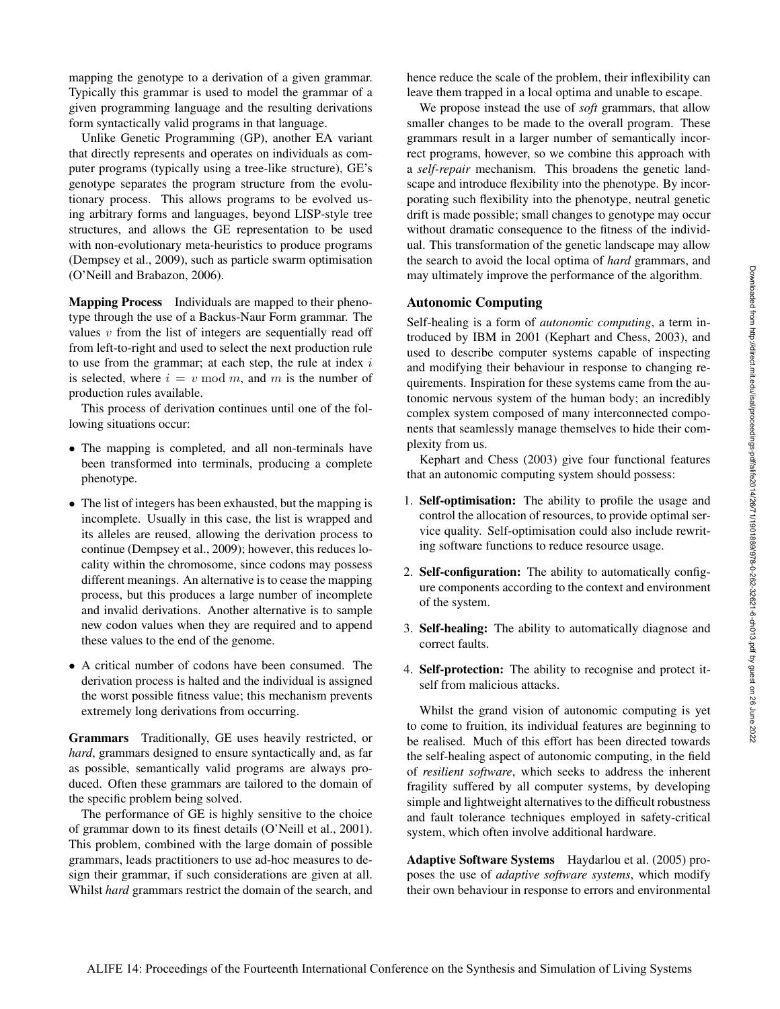mapping the genotype to a derivation of a given grammar. Typically this grammar is used to model the grammar of a given programming language and the resulting derivations form syntactically valid programs in that language.

Unlike Genetic Programming (GP), another EA variant that directly represents and operates on individuals as computer programs (typically using a tree-like structure), GE's genotype separates the program structure from the evolutionary process. This allows programs to be evolved using arbitrary forms and languages, beyond LISP-style tree structures, and allows the GE representation to be used with non-evolutionary meta-heuristics to produce programs (Dempsey et al., 2009), such as particle swarm optimisation (O'Neill and Brabazon, 2006).

Mapping Process Individuals are mapped to their phenotype through the use of a Backus-Naur Form grammar. The values  $v$  from the list of integers are sequentially read off from left-to-right and used to select the next production rule to use from the grammar; at each step, the rule at index  $i$ is selected, where  $i = v \mod m$ , and m is the number of production rules available.

This process of derivation continues until one of the following situations occur:

- The mapping is completed, and all non-terminals have been transformed into terminals, producing a complete phenotype.
- The list of integers has been exhausted, but the mapping is incomplete. Usually in this case, the list is wrapped and its alleles are reused, allowing the derivation process to continue (Dempsey et al., 2009); however, this reduces locality within the chromosome, since codons may possess different meanings. An alternative is to cease the mapping process, but this produces a large number of incomplete and invalid derivations. Another alternative is to sample new codon values when they are required and to append these values to the end of the genome.
- A critical number of codons have been consumed. The derivation process is halted and the individual is assigned the worst possible fitness value; this mechanism prevents extremely long derivations from occurring.

Grammars Traditionally, GE uses heavily restricted, or *hard*, grammars designed to ensure syntactically and, as far as possible, semantically valid programs are always produced. Often these grammars are tailored to the domain of the specific problem being solved.

The performance of GE is highly sensitive to the choice of grammar down to its finest details (O'Neill et al., 2001). This problem, combined with the large domain of possible grammars, leads practitioners to use ad-hoc measures to design their grammar, if such considerations are given at all. Whilst *hard* grammars restrict the domain of the search, and hence reduce the scale of the problem, their inflexibility can leave them trapped in a local optima and unable to escape.

We propose instead the use of *soft* grammars, that allow smaller changes to be made to the overall program. These grammars result in a larger number of semantically incorrect programs, however, so we combine this approach with a *self-repair* mechanism. This broadens the genetic landscape and introduce flexibility into the phenotype. By incorporating such flexibility into the phenotype, neutral genetic drift is made possible; small changes to genotype may occur without dramatic consequence to the fitness of the individual. This transformation of the genetic landscape may allow the search to avoid the local optima of *hard* grammars, and may ultimately improve the performance of the algorithm.

### Autonomic Computing

Self-healing is a form of *autonomic computing*, a term introduced by IBM in 2001 (Kephart and Chess, 2003), and used to describe computer systems capable of inspecting and modifying their behaviour in response to changing requirements. Inspiration for these systems came from the autonomic nervous system of the human body; an incredibly complex system composed of many interconnected components that seamlessly manage themselves to hide their complexity from us.

Kephart and Chess (2003) give four functional features that an autonomic computing system should possess:

- 1. Self-optimisation: The ability to profile the usage and control the allocation of resources, to provide optimal service quality. Self-optimisation could also include rewriting software functions to reduce resource usage.
- 2. Self-configuration: The ability to automatically configure components according to the context and environment of the system.
- 3. Self-healing: The ability to automatically diagnose and correct faults.
- 4. Self-protection: The ability to recognise and protect itself from malicious attacks.

Whilst the grand vision of autonomic computing is yet to come to fruition, its individual features are beginning to be realised. Much of this effort has been directed towards the self-healing aspect of autonomic computing, in the field of *resilient software*, which seeks to address the inherent fragility suffered by all computer systems, by developing simple and lightweight alternatives to the difficult robustness and fault tolerance techniques employed in safety-critical system, which often involve additional hardware.

Adaptive Software Systems Haydarlou et al. (2005) proposes the use of *adaptive software systems*, which modify their own behaviour in response to errors and environmental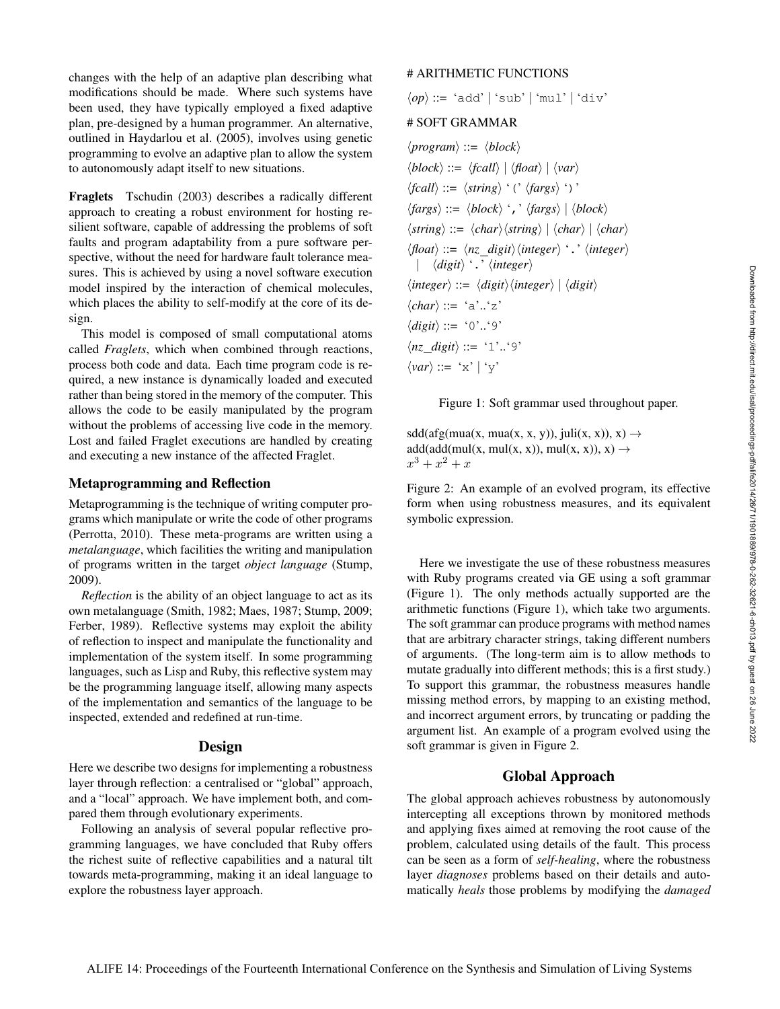changes with the help of an adaptive plan describing what modifications should be made. Where such systems have been used, they have typically employed a fixed adaptive plan, pre-designed by a human programmer. An alternative, outlined in Haydarlou et al. (2005), involves using genetic programming to evolve an adaptive plan to allow the system to autonomously adapt itself to new situations.

Fraglets Tschudin (2003) describes a radically different approach to creating a robust environment for hosting resilient software, capable of addressing the problems of soft faults and program adaptability from a pure software perspective, without the need for hardware fault tolerance measures. This is achieved by using a novel software execution model inspired by the interaction of chemical molecules, which places the ability to self-modify at the core of its design.

This model is composed of small computational atoms called *Fraglets*, which when combined through reactions, process both code and data. Each time program code is required, a new instance is dynamically loaded and executed rather than being stored in the memory of the computer. This allows the code to be easily manipulated by the program without the problems of accessing live code in the memory. Lost and failed Fraglet executions are handled by creating and executing a new instance of the affected Fraglet.

### Metaprogramming and Reflection

Metaprogramming is the technique of writing computer programs which manipulate or write the code of other programs (Perrotta, 2010). These meta-programs are written using a *metalanguage*, which facilities the writing and manipulation of programs written in the target *object language* (Stump, 2009).

*Reflection* is the ability of an object language to act as its own metalanguage (Smith, 1982; Maes, 1987; Stump, 2009; Ferber, 1989). Reflective systems may exploit the ability of reflection to inspect and manipulate the functionality and implementation of the system itself. In some programming languages, such as Lisp and Ruby, this reflective system may be the programming language itself, allowing many aspects of the implementation and semantics of the language to be inspected, extended and redefined at run-time.

#### Design

Here we describe two designs for implementing a robustness layer through reflection: a centralised or "global" approach, and a "local" approach. We have implement both, and compared them through evolutionary experiments.

Following an analysis of several popular reflective programming languages, we have concluded that Ruby offers the richest suite of reflective capabilities and a natural tilt towards meta-programming, making it an ideal language to explore the robustness layer approach.

### # ARITHMETIC FUNCTIONS

 $\langle op \rangle ::= 'add' | 'sub' | 'mul' | 'div'$ 

#### # SOFT GRAMMAR

 $\langle program \rangle ::= \langle block \rangle$  $\langle block \rangle ::= \langle \{fcall \rangle \mid \langle \text{float} \rangle \mid \langle \text{var} \rangle$  $\langle$ *fcall* $\rangle$  ::=  $\langle$ *string* $\rangle$  '('  $\langle$ *fargs* $\rangle$  ')'  $\langle \text{fargs} \rangle ::= \langle \text{block} \rangle$  ','  $\langle \text{fargs} \rangle | \langle \text{block} \rangle$  $\langle$ *string* $\rangle ::= \langle char \rangle \langle$ *string* $\rangle | \langle char \rangle | \langle char \rangle$  $\langle$ float $\rangle$  ::=  $\langle nz \rangle$  *digit* $\rangle$  $\langle integer \rangle$  '.'  $\langle integer \rangle$ |  $\langle$ *digit* $\rangle$  '.'  $\langle$ *integer* $\rangle$  $\langle integer \rangle ::= \langle digit \rangle \langle integer \rangle | \langle digit \rangle$  $\langle char \rangle ::= 'a'..'z'$  $\langle$ *digit* $\rangle ::= '0'.'.9'$  $\langle nz \rangle$  *digit* $\rangle ::= '1'.'.'9'$  $\langle var \rangle ::= 'x' | 'y'$ 

Figure 1: Soft grammar used throughout paper.

 $sdd(afg(mua(x, mua(x, x, y)), juli(x, x)), x) \rightarrow$  $add(add(mul(x, mul(x, x)), mul(x, x)), x) \rightarrow$  $x^3 + x^2 + x$ 

Figure 2: An example of an evolved program, its effective form when using robustness measures, and its equivalent symbolic expression.

Here we investigate the use of these robustness measures with Ruby programs created via GE using a soft grammar (Figure 1). The only methods actually supported are the arithmetic functions (Figure 1), which take two arguments. The soft grammar can produce programs with method names that are arbitrary character strings, taking different numbers of arguments. (The long-term aim is to allow methods to mutate gradually into different methods; this is a first study.) To support this grammar, the robustness measures handle missing method errors, by mapping to an existing method, and incorrect argument errors, by truncating or padding the argument list. An example of a program evolved using the soft grammar is given in Figure 2.

### Global Approach

The global approach achieves robustness by autonomously intercepting all exceptions thrown by monitored methods and applying fixes aimed at removing the root cause of the problem, calculated using details of the fault. This process can be seen as a form of *self-healing*, where the robustness layer *diagnoses* problems based on their details and automatically *heals* those problems by modifying the *damaged*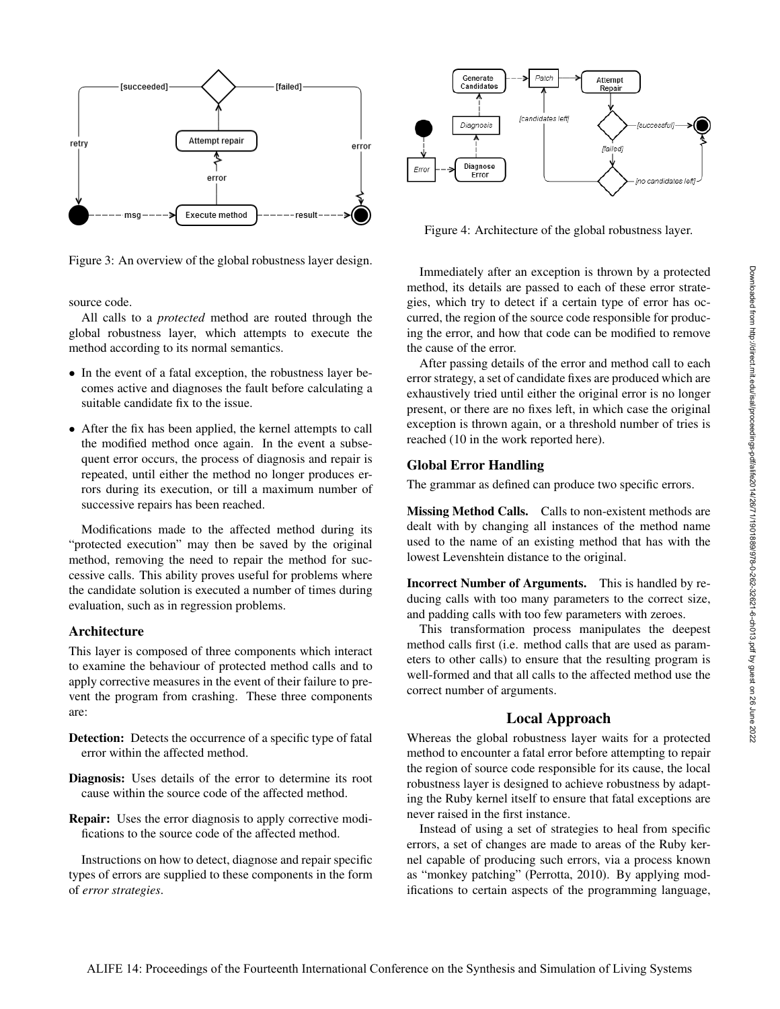

Figure 3: An overview of the global robustness layer design.

source code.

All calls to a *protected* method are routed through the global robustness layer, which attempts to execute the method according to its normal semantics.

- In the event of a fatal exception, the robustness layer becomes active and diagnoses the fault before calculating a suitable candidate fix to the issue.
- After the fix has been applied, the kernel attempts to call the modified method once again. In the event a subsequent error occurs, the process of diagnosis and repair is repeated, until either the method no longer produces errors during its execution, or till a maximum number of successive repairs has been reached.

Modifications made to the affected method during its "protected execution" may then be saved by the original method, removing the need to repair the method for successive calls. This ability proves useful for problems where the candidate solution is executed a number of times during evaluation, such as in regression problems.

#### Architecture

This layer is composed of three components which interact to examine the behaviour of protected method calls and to apply corrective measures in the event of their failure to prevent the program from crashing. These three components are:

- Detection: Detects the occurrence of a specific type of fatal error within the affected method.
- Diagnosis: Uses details of the error to determine its root cause within the source code of the affected method.
- Repair: Uses the error diagnosis to apply corrective modifications to the source code of the affected method.

Instructions on how to detect, diagnose and repair specific types of errors are supplied to these components in the form of *error strategies*.



Figure 4: Architecture of the global robustness layer.

Immediately after an exception is thrown by a protected method, its details are passed to each of these error strategies, which try to detect if a certain type of error has occurred, the region of the source code responsible for producing the error, and how that code can be modified to remove the cause of the error.

After passing details of the error and method call to each error strategy, a set of candidate fixes are produced which are exhaustively tried until either the original error is no longer present, or there are no fixes left, in which case the original exception is thrown again, or a threshold number of tries is reached (10 in the work reported here).

#### Global Error Handling

The grammar as defined can produce two specific errors.

Missing Method Calls. Calls to non-existent methods are dealt with by changing all instances of the method name used to the name of an existing method that has with the lowest Levenshtein distance to the original.

Incorrect Number of Arguments. This is handled by reducing calls with too many parameters to the correct size, and padding calls with too few parameters with zeroes.

This transformation process manipulates the deepest method calls first (i.e. method calls that are used as parameters to other calls) to ensure that the resulting program is well-formed and that all calls to the affected method use the correct number of arguments.

#### Local Approach

Whereas the global robustness layer waits for a protected method to encounter a fatal error before attempting to repair the region of source code responsible for its cause, the local robustness layer is designed to achieve robustness by adapting the Ruby kernel itself to ensure that fatal exceptions are never raised in the first instance.

Instead of using a set of strategies to heal from specific errors, a set of changes are made to areas of the Ruby kernel capable of producing such errors, via a process known as "monkey patching" (Perrotta, 2010). By applying modifications to certain aspects of the programming language,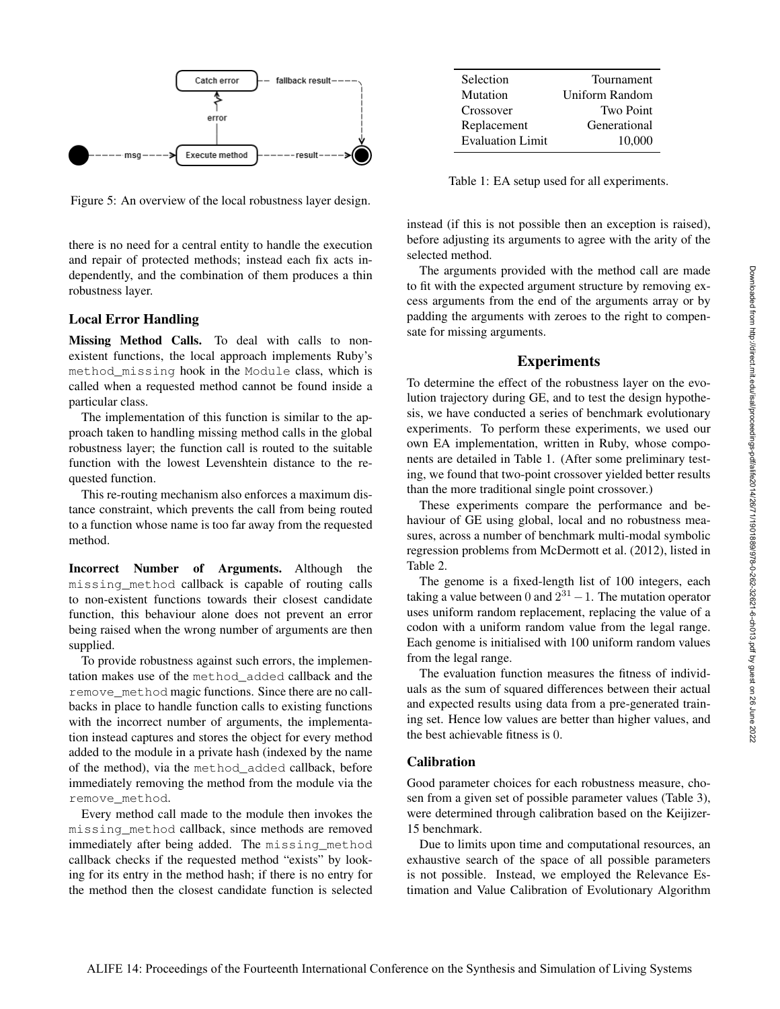

Figure 5: An overview of the local robustness layer design.

there is no need for a central entity to handle the execution and repair of protected methods; instead each fix acts independently, and the combination of them produces a thin robustness layer.

#### Local Error Handling

Missing Method Calls. To deal with calls to nonexistent functions, the local approach implements Ruby's method\_missing hook in the Module class, which is called when a requested method cannot be found inside a particular class.

The implementation of this function is similar to the approach taken to handling missing method calls in the global robustness layer; the function call is routed to the suitable function with the lowest Levenshtein distance to the requested function.

This re-routing mechanism also enforces a maximum distance constraint, which prevents the call from being routed to a function whose name is too far away from the requested method.

Incorrect Number of Arguments. Although the missing\_method callback is capable of routing calls to non-existent functions towards their closest candidate function, this behaviour alone does not prevent an error being raised when the wrong number of arguments are then supplied.

To provide robustness against such errors, the implementation makes use of the method\_added callback and the remove\_method magic functions. Since there are no callbacks in place to handle function calls to existing functions with the incorrect number of arguments, the implementation instead captures and stores the object for every method added to the module in a private hash (indexed by the name of the method), via the method\_added callback, before immediately removing the method from the module via the remove\_method.

Every method call made to the module then invokes the missing\_method callback, since methods are removed immediately after being added. The missing method callback checks if the requested method "exists" by looking for its entry in the method hash; if there is no entry for the method then the closest candidate function is selected

| Selection               | Tournament       |
|-------------------------|------------------|
| Mutation                | Uniform Random   |
| Crossover               | <b>Two Point</b> |
| Replacement             | Generational     |
| <b>Evaluation Limit</b> | 10.000           |

Table 1: EA setup used for all experiments.

instead (if this is not possible then an exception is raised), before adjusting its arguments to agree with the arity of the selected method.

The arguments provided with the method call are made to fit with the expected argument structure by removing excess arguments from the end of the arguments array or by padding the arguments with zeroes to the right to compensate for missing arguments.

#### Experiments

To determine the effect of the robustness layer on the evolution trajectory during GE, and to test the design hypothesis, we have conducted a series of benchmark evolutionary experiments. To perform these experiments, we used our own EA implementation, written in Ruby, whose components are detailed in Table 1. (After some preliminary testing, we found that two-point crossover yielded better results than the more traditional single point crossover.)

These experiments compare the performance and behaviour of GE using global, local and no robustness measures, across a number of benchmark multi-modal symbolic regression problems from McDermott et al. (2012), listed in Table 2.

The genome is a fixed-length list of 100 integers, each taking a value between 0 and  $2^{31} - 1$ . The mutation operator uses uniform random replacement, replacing the value of a codon with a uniform random value from the legal range. Each genome is initialised with 100 uniform random values from the legal range.

The evaluation function measures the fitness of individuals as the sum of squared differences between their actual and expected results using data from a pre-generated training set. Hence low values are better than higher values, and the best achievable fitness is 0.

#### Calibration

Good parameter choices for each robustness measure, chosen from a given set of possible parameter values (Table 3), were determined through calibration based on the Keijizer-15 benchmark.

Due to limits upon time and computational resources, an exhaustive search of the space of all possible parameters is not possible. Instead, we employed the Relevance Estimation and Value Calibration of Evolutionary Algorithm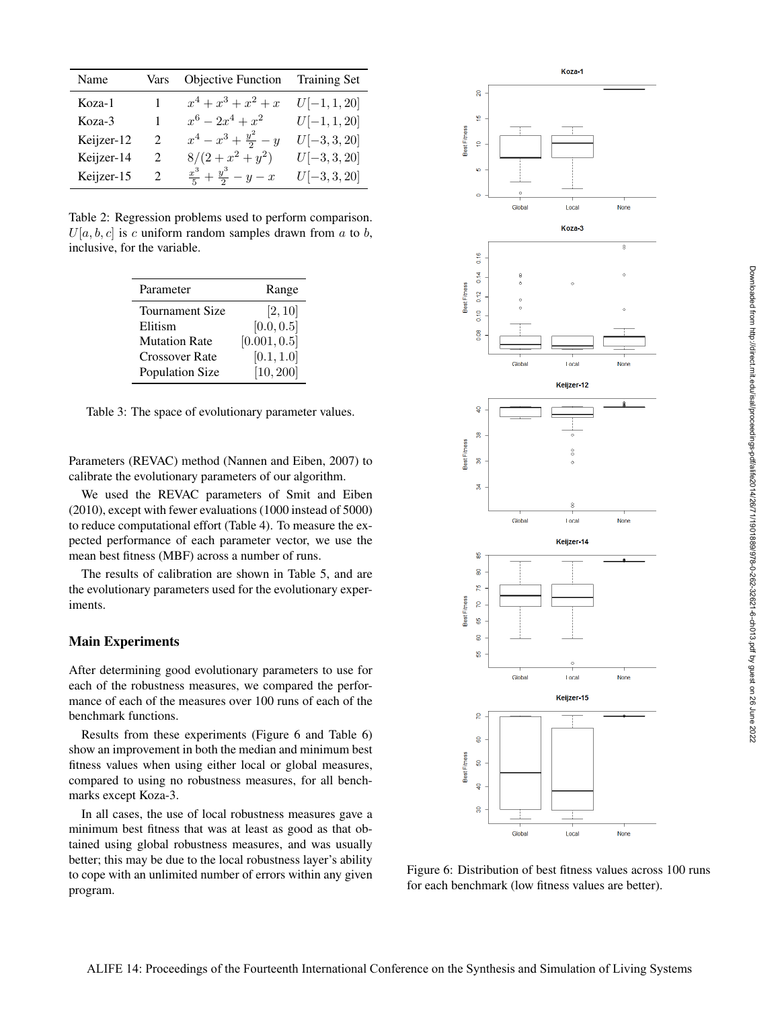| Name       | Vars | Objective Function Training Set       |                |
|------------|------|---------------------------------------|----------------|
| Koza-1     |      | $x^4 + x^3 + x^2 + x$                 | $U[-1, 1, 20]$ |
| Koza-3     |      | $x^6 - 2x^4 + x^2$                    | $U[-1, 1, 20]$ |
| Keijzer-12 | 2    | $x^4 - x^3 + \frac{y^2}{2} - y$       | $U[-3, 3, 20]$ |
| Keijzer-14 | 2    | $8/(2+x^2+y^2)$                       | $U[-3, 3, 20]$ |
| Keijzer-15 | 2    | $rac{x^3}{5} + \frac{y^3}{2} - y - x$ | $U[-3, 3, 20]$ |

Table 2: Regression problems used to perform comparison.  $U[a, b, c]$  is c uniform random samples drawn from a to b, inclusive, for the variable.

| Parameter              | Range        |
|------------------------|--------------|
| <b>Tournament Size</b> | [2, 10]      |
| Elitism                | [0.0, 0.5]   |
| <b>Mutation Rate</b>   | [0.001, 0.5] |
| <b>Crossover Rate</b>  | [0.1, 1.0]   |
| <b>Population Size</b> | [10, 200]    |

Table 3: The space of evolutionary parameter values.

Parameters (REVAC) method (Nannen and Eiben, 2007) to calibrate the evolutionary parameters of our algorithm.

We used the REVAC parameters of Smit and Eiben (2010), except with fewer evaluations (1000 instead of 5000) to reduce computational effort (Table 4). To measure the expected performance of each parameter vector, we use the mean best fitness (MBF) across a number of runs.

The results of calibration are shown in Table 5, and are the evolutionary parameters used for the evolutionary experiments.

#### Main Experiments

After determining good evolutionary parameters to use for each of the robustness measures, we compared the performance of each of the measures over 100 runs of each of the benchmark functions.

Results from these experiments (Figure 6 and Table 6) show an improvement in both the median and minimum best fitness values when using either local or global measures, compared to using no robustness measures, for all benchmarks except Koza-3.

In all cases, the use of local robustness measures gave a minimum best fitness that was at least as good as that obtained using global robustness measures, and was usually better; this may be due to the local robustness layer's ability to cope with an unlimited number of errors within any given program.



Figure 6: Distribution of best fitness values across 100 runs for each benchmark (low fitness values are better).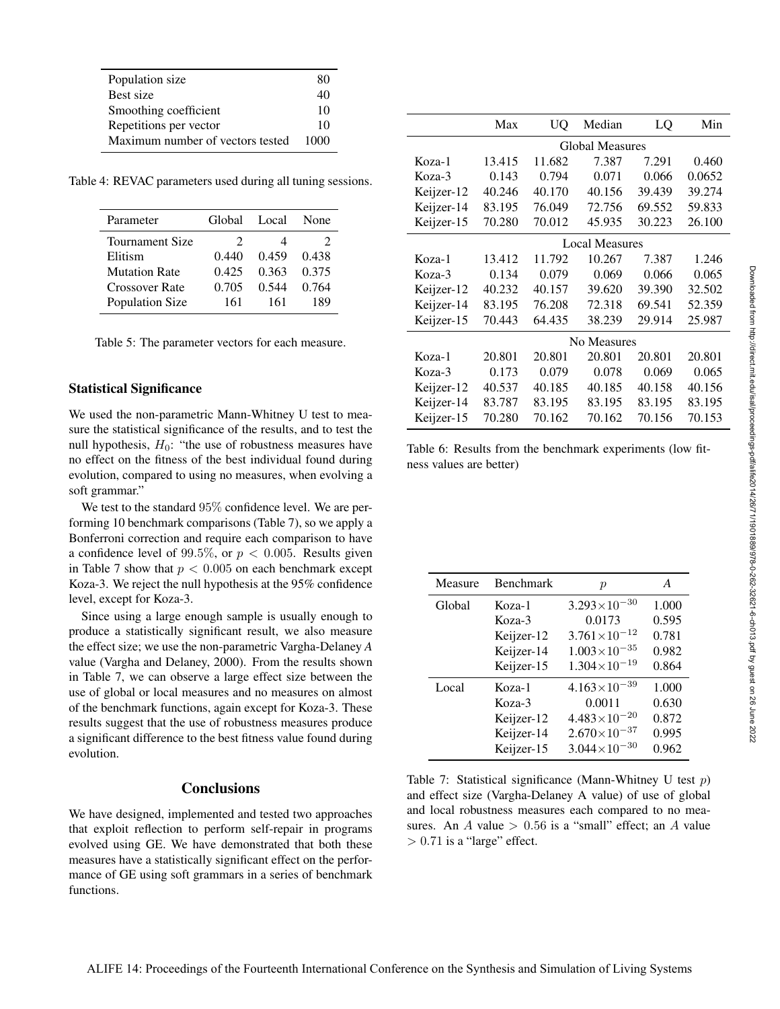| Population size                  | 80   |
|----------------------------------|------|
| Best size                        | 40   |
| Smoothing coefficient            | 10   |
| Repetitions per vector           | 10   |
| Maximum number of vectors tested | 1000 |

Table 4: REVAC parameters used during all tuning sessions.

| Parameter             | Global         | Local | None          |
|-----------------------|----------------|-------|---------------|
| Tournament Size       | $\mathfrak{D}$ | 4     | $\mathcal{L}$ |
| Elitism               | 0.440          | 0.459 | 0.438         |
| <b>Mutation Rate</b>  | 0.425          | 0.363 | 0.375         |
| <b>Crossover Rate</b> | 0.705          | 0.544 | 0.764         |
| Population Size       | 161            | 161   | 189           |

Table 5: The parameter vectors for each measure.

### Statistical Significance

We used the non-parametric Mann-Whitney U test to measure the statistical significance of the results, and to test the null hypothesis,  $H_0$ : "the use of robustness measures have no effect on the fitness of the best individual found during evolution, compared to using no measures, when evolving a soft grammar."

We test to the standard 95% confidence level. We are performing 10 benchmark comparisons (Table 7), so we apply a Bonferroni correction and require each comparison to have a confidence level of 99.5%, or  $p < 0.005$ . Results given in Table 7 show that  $p < 0.005$  on each benchmark except Koza-3. We reject the null hypothesis at the 95% confidence level, except for Koza-3.

Since using a large enough sample is usually enough to produce a statistically significant result, we also measure the effect size; we use the non-parametric Vargha-Delaney *A* value (Vargha and Delaney, 2000). From the results shown in Table 7, we can observe a large effect size between the use of global or local measures and no measures on almost of the benchmark functions, again except for Koza-3. These results suggest that the use of robustness measures produce a significant difference to the best fitness value found during evolution.

### **Conclusions**

We have designed, implemented and tested two approaches that exploit reflection to perform self-repair in programs evolved using GE. We have demonstrated that both these measures have a statistically significant effect on the performance of GE using soft grammars in a series of benchmark functions.

|            | Max                    | UQ     | Median | LQ     | Min    |
|------------|------------------------|--------|--------|--------|--------|
|            | <b>Global Measures</b> |        |        |        |        |
| Koza-1     | 13.415                 | 11.682 | 7.387  | 7.291  | 0.460  |
| Koza-3     | 0.143                  | 0.794  | 0.071  | 0.066  | 0.0652 |
| Keijzer-12 | 40.246                 | 40.170 | 40.156 | 39.439 | 39.274 |
| Keijzer-14 | 83.195                 | 76.049 | 72.756 | 69.552 | 59.833 |
| Keijzer-15 | 70.280                 | 70.012 | 45.935 | 30.223 | 26.100 |
|            | <b>Local Measures</b>  |        |        |        |        |
| Koza-1     | 13.412                 | 11.792 | 10.267 | 7.387  | 1.246  |
| Koza-3     | 0.134                  | 0.079  | 0.069  | 0.066  | 0.065  |
| Keijzer-12 | 40.232                 | 40.157 | 39.620 | 39.390 | 32.502 |
| Keijzer-14 | 83.195                 | 76.208 | 72.318 | 69.541 | 52.359 |
| Keijzer-15 | 70.443                 | 64.435 | 38.239 | 29.914 | 25.987 |
|            | No Measures            |        |        |        |        |
| Koza-1     | 20.801                 | 20.801 | 20.801 | 20.801 | 20.801 |
| Koza-3     | 0.173                  | 0.079  | 0.078  | 0.069  | 0.065  |
| Keijzer-12 | 40.537                 | 40.185 | 40.185 | 40.158 | 40.156 |
| Keijzer-14 | 83.787                 | 83.195 | 83.195 | 83.195 | 83.195 |
| Keijzer-15 | 70.280                 | 70.162 | 70.162 | 70.156 | 70.153 |

Table 6: Results from the benchmark experiments (low fitness values are better)

| Measure | <b>Benchmark</b> | $\boldsymbol{p}$        | A     |
|---------|------------------|-------------------------|-------|
| Global  | Koza-1           | $3.293\times10^{-30}$   | 1.000 |
|         | Koza-3           | 0.0173                  | 0.595 |
|         | Keijzer-12       | $3.761 \times 10^{-12}$ | 0.781 |
|         | Keijzer-14       | $1.003\times10^{-35}$   | 0.982 |
|         | Keijzer-15       | $1.304\times10^{-19}$   | 0.864 |
| Local   | Koza-1           | $4.163\times10^{-39}$   | 1.000 |
|         | $Koza-3$         | 0.0011                  | 0.630 |
|         | Keijzer-12       | $4.483\times10^{-20}$   | 0.872 |
|         | Keijzer-14       | $2.670\times10^{-37}$   | 0.995 |
|         | Keijzer-15       | $3.044\times10^{-30}$   | 0.962 |

Table 7: Statistical significance (Mann-Whitney U test  $p$ ) and effect size (Vargha-Delaney A value) of use of global and local robustness measures each compared to no measures. An A value  $> 0.56$  is a "small" effect; an A value  $> 0.71$  is a "large" effect.